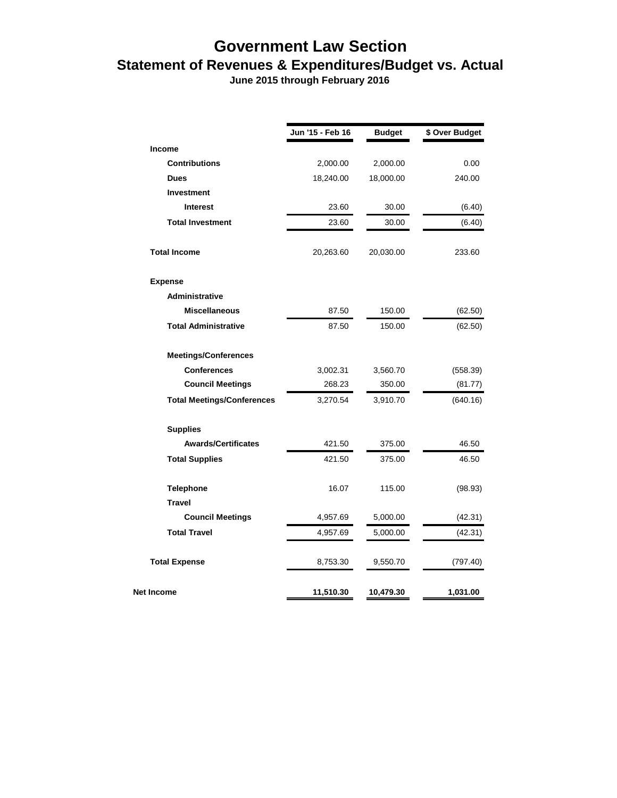## **Government Law Section Statement of Revenues & Expenditures/Budget vs. Actual**

 **June 2015 through February 2016**

|                                   | Jun '15 - Feb 16 | <b>Budget</b> | \$ Over Budget |
|-----------------------------------|------------------|---------------|----------------|
| <b>Income</b>                     |                  |               |                |
| <b>Contributions</b>              | 2,000.00         | 2,000.00      | 0.00           |
| <b>Dues</b>                       | 18,240.00        | 18,000.00     | 240.00         |
| <b>Investment</b>                 |                  |               |                |
| <b>Interest</b>                   | 23.60            | 30.00         | (6.40)         |
| <b>Total Investment</b>           | 23.60            | 30.00         | (6.40)         |
| <b>Total Income</b>               | 20,263.60        | 20,030.00     | 233.60         |
| <b>Expense</b>                    |                  |               |                |
| Administrative                    |                  |               |                |
| <b>Miscellaneous</b>              | 87.50            | 150.00        | (62.50)        |
| <b>Total Administrative</b>       | 87.50            | 150.00        | (62.50)        |
| <b>Meetings/Conferences</b>       |                  |               |                |
| <b>Conferences</b>                | 3,002.31         | 3,560.70      | (558.39)       |
| <b>Council Meetings</b>           | 268.23           | 350.00        | (81.77)        |
| <b>Total Meetings/Conferences</b> | 3,270.54         | 3,910.70      | (640.16)       |
| <b>Supplies</b>                   |                  |               |                |
| <b>Awards/Certificates</b>        | 421.50           | 375.00        | 46.50          |
| <b>Total Supplies</b>             | 421.50           | 375.00        | 46.50          |
| <b>Telephone</b>                  | 16.07            | 115.00        | (98.93)        |
| <b>Travel</b>                     |                  |               |                |
| <b>Council Meetings</b>           | 4,957.69         | 5,000.00      | (42.31)        |
| <b>Total Travel</b>               | 4,957.69         | 5,000.00      | (42.31)        |
| <b>Total Expense</b>              | 8,753.30         | 9,550.70      | (797.40)       |
| <b>Net Income</b>                 | 11,510.30        | 10,479.30     | 1,031.00       |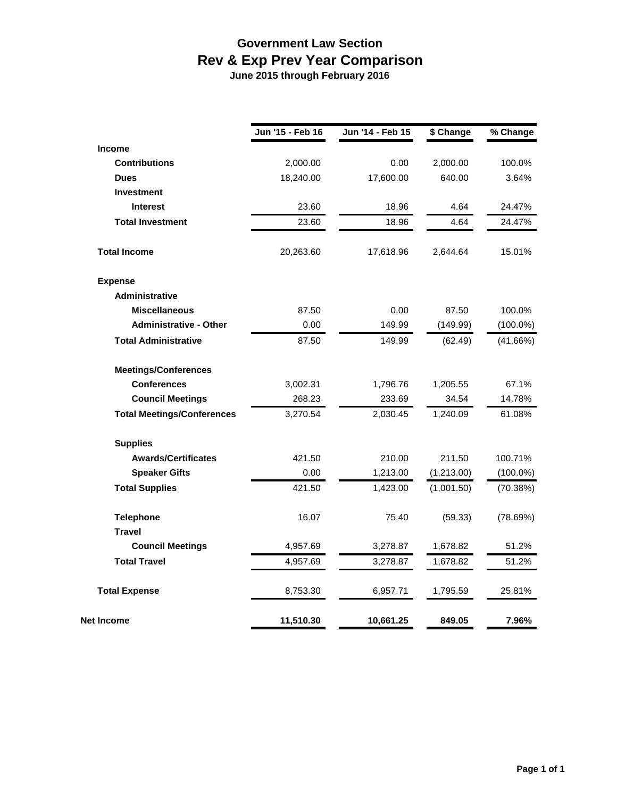## **Government Law Section Rev & Exp Prev Year Comparison June 2015 through February 2016**

|                                   | Jun '15 - Feb 16 | Jun '14 - Feb 15 | \$ Change  | % Change    |
|-----------------------------------|------------------|------------------|------------|-------------|
| <b>Income</b>                     |                  |                  |            |             |
| <b>Contributions</b>              | 2,000.00         | 0.00             | 2,000.00   | 100.0%      |
| <b>Dues</b>                       | 18,240.00        | 17,600.00        | 640.00     | 3.64%       |
| <b>Investment</b>                 |                  |                  |            |             |
| <b>Interest</b>                   | 23.60            | 18.96            | 4.64       | 24.47%      |
| <b>Total Investment</b>           | 23.60            | 18.96            | 4.64       | 24.47%      |
| <b>Total Income</b>               | 20,263.60        | 17,618.96        | 2,644.64   | 15.01%      |
| <b>Expense</b>                    |                  |                  |            |             |
| <b>Administrative</b>             |                  |                  |            |             |
| <b>Miscellaneous</b>              | 87.50            | 0.00             | 87.50      | 100.0%      |
| <b>Administrative - Other</b>     | 0.00             | 149.99           | (149.99)   | $(100.0\%)$ |
| <b>Total Administrative</b>       | 87.50            | 149.99           | (62.49)    | (41.66%)    |
| <b>Meetings/Conferences</b>       |                  |                  |            |             |
| <b>Conferences</b>                | 3,002.31         | 1,796.76         | 1,205.55   | 67.1%       |
| <b>Council Meetings</b>           | 268.23           | 233.69           | 34.54      | 14.78%      |
| <b>Total Meetings/Conferences</b> | 3,270.54         | 2,030.45         | 1,240.09   | 61.08%      |
| <b>Supplies</b>                   |                  |                  |            |             |
| <b>Awards/Certificates</b>        | 421.50           | 210.00           | 211.50     | 100.71%     |
| <b>Speaker Gifts</b>              | 0.00             | 1,213.00         | (1,213.00) | $(100.0\%)$ |
| <b>Total Supplies</b>             | 421.50           | 1,423.00         | (1,001.50) | (70.38%)    |
| <b>Telephone</b>                  | 16.07            | 75.40            | (59.33)    | (78.69%)    |
| <b>Travel</b>                     |                  |                  |            |             |
| <b>Council Meetings</b>           | 4,957.69         | 3,278.87         | 1,678.82   | 51.2%       |
| <b>Total Travel</b>               | 4,957.69         | 3,278.87         | 1,678.82   | 51.2%       |
| <b>Total Expense</b>              | 8,753.30         | 6,957.71         | 1,795.59   | 25.81%      |
| <b>Net Income</b>                 | 11,510.30        | 10,661.25        | 849.05     | 7.96%       |